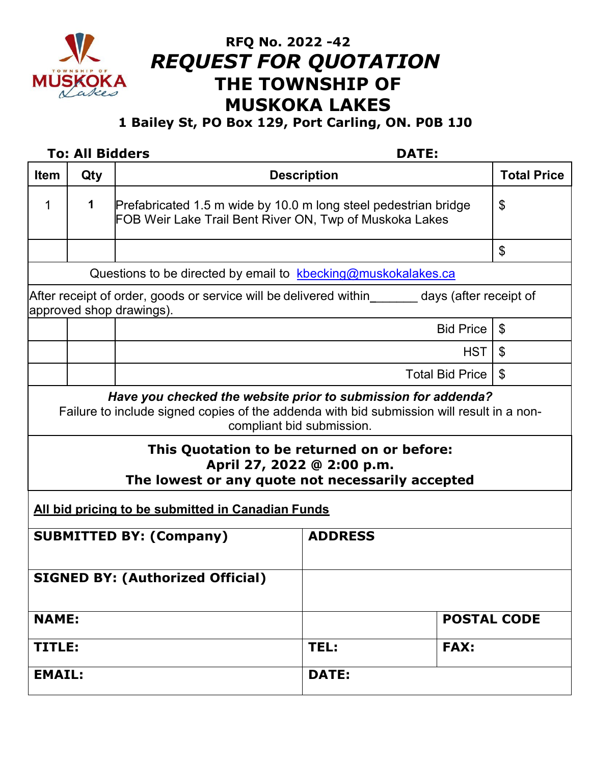

# **RFQ No. 2022 -42** *REQUEST FOR QUOTATION*  **THE TOWNSHIP OF MUSKOKA LAKES**

## **1 Bailey St, PO Box 129, Port Carling, ON. P0B 1J0**

### **To: All Bidders DATE:**

| <b>Item</b>                                                                                                                                                                                                                                                                                                              | Qty |                                                                                                                            | <b>Description</b>     | <b>Total Price</b>        |
|--------------------------------------------------------------------------------------------------------------------------------------------------------------------------------------------------------------------------------------------------------------------------------------------------------------------------|-----|----------------------------------------------------------------------------------------------------------------------------|------------------------|---------------------------|
|                                                                                                                                                                                                                                                                                                                          |     |                                                                                                                            |                        |                           |
| 1                                                                                                                                                                                                                                                                                                                        | 1   | Prefabricated 1.5 m wide by 10.0 m long steel pedestrian bridge<br>FOB Weir Lake Trail Bent River ON, Twp of Muskoka Lakes | \$                     |                           |
|                                                                                                                                                                                                                                                                                                                          |     |                                                                                                                            |                        | \$                        |
| Questions to be directed by email to kbecking@muskokalakes.ca                                                                                                                                                                                                                                                            |     |                                                                                                                            |                        |                           |
| After receipt of order, goods or service will be delivered within_______days (after receipt of<br>approved shop drawings).                                                                                                                                                                                               |     |                                                                                                                            |                        |                           |
|                                                                                                                                                                                                                                                                                                                          |     |                                                                                                                            | <b>Bid Price</b>       | $\boldsymbol{\mathsf{S}}$ |
|                                                                                                                                                                                                                                                                                                                          |     |                                                                                                                            |                        | <b>HST</b><br>\$          |
|                                                                                                                                                                                                                                                                                                                          |     |                                                                                                                            | <b>Total Bid Price</b> | \$                        |
| Have you checked the website prior to submission for addenda?<br>Failure to include signed copies of the addenda with bid submission will result in a non-<br>compliant bid submission.<br>This Quotation to be returned on or before:<br>April 27, 2022 @ 2:00 p.m.<br>The lowest or any quote not necessarily accepted |     |                                                                                                                            |                        |                           |
| All bid pricing to be submitted in Canadian Funds                                                                                                                                                                                                                                                                        |     |                                                                                                                            |                        |                           |
| <b>SUBMITTED BY: (Company)</b>                                                                                                                                                                                                                                                                                           |     |                                                                                                                            | <b>ADDRESS</b>         |                           |
| <b>SIGNED BY: (Authorized Official)</b>                                                                                                                                                                                                                                                                                  |     |                                                                                                                            |                        |                           |
| <b>NAME:</b>                                                                                                                                                                                                                                                                                                             |     |                                                                                                                            |                        | <b>POSTAL CODE</b>        |
| TITLE:                                                                                                                                                                                                                                                                                                                   |     |                                                                                                                            | TEL:<br><b>FAX:</b>    |                           |
| <b>EMAIL:</b>                                                                                                                                                                                                                                                                                                            |     |                                                                                                                            | <b>DATE:</b>           |                           |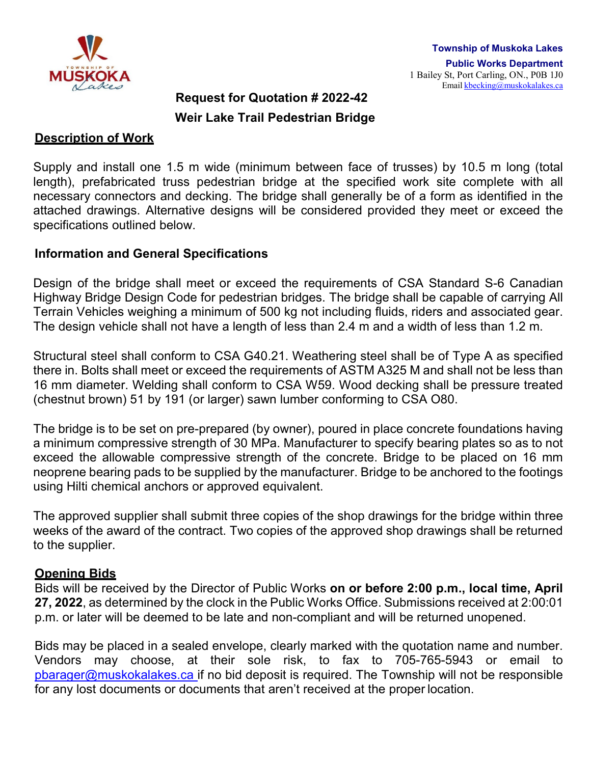

# **Request for Quotation # 2022-42 Weir Lake Trail Pedestrian Bridge**

#### **Description of Work**

Supply and install one 1.5 m wide (minimum between face of trusses) by 10.5 m long (total length), prefabricated truss pedestrian bridge at the specified work site complete with all necessary connectors and decking. The bridge shall generally be of a form as identified in the attached drawings. Alternative designs will be considered provided they meet or exceed the specifications outlined below.

#### **Information and General Specifications**

Design of the bridge shall meet or exceed the requirements of CSA Standard S-6 Canadian Highway Bridge Design Code for pedestrian bridges. The bridge shall be capable of carrying All Terrain Vehicles weighing a minimum of 500 kg not including fluids, riders and associated gear. The design vehicle shall not have a length of less than 2.4 m and a width of less than 1.2 m.

Structural steel shall conform to CSA G40.21. Weathering steel shall be of Type A as specified there in. Bolts shall meet or exceed the requirements of ASTM A325 M and shall not be less than 16 mm diameter. Welding shall conform to CSA W59. Wood decking shall be pressure treated (chestnut brown) 51 by 191 (or larger) sawn lumber conforming to CSA O80.

The bridge is to be set on pre-prepared (by owner), poured in place concrete foundations having a minimum compressive strength of 30 MPa. Manufacturer to specify bearing plates so as to not exceed the allowable compressive strength of the concrete. Bridge to be placed on 16 mm neoprene bearing pads to be supplied by the manufacturer. Bridge to be anchored to the footings using Hilti chemical anchors or approved equivalent.

The approved supplier shall submit three copies of the shop drawings for the bridge within three weeks of the award of the contract. Two copies of the approved shop drawings shall be returned to the supplier.

#### **Opening Bids**

Bids will be received by the Director of Public Works **on or before 2:00 p.m., local time, April 27, 2022**, as determined by the clock in the Public Works Office. Submissions received at 2:00:01 p.m. or later will be deemed to be late and non-compliant and will be returned unopened.

Bids may be placed in a sealed envelope, clearly marked with the quotation name and number. Vendors may choose, at their sole risk, to fax to 705-765-5943 or email to [pbarager@muskokalakes.ca](mailto:pbarager@muskokalakes.ca) if no bid deposit is required. The Township will not be responsible for any lost documents or documents that aren't received at the proper location.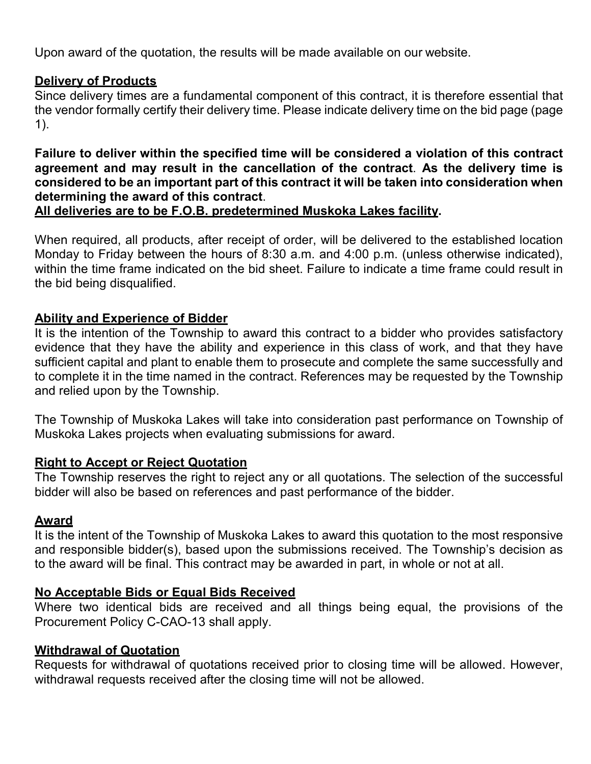Upon award of the quotation, the results will be made available on our website.

### **Delivery of Products**

Since delivery times are a fundamental component of this contract, it is therefore essential that the vendor formally certify their delivery time. Please indicate delivery time on the bid page (page 1).

**Failure to deliver within the specified time will be considered a violation of this contract agreement and may result in the cancellation of the contract**. **As the delivery time is considered to be an important part of this contract it will be taken into consideration when determining the award of this contract**.

#### **All deliveries are to be F.O.B. predetermined Muskoka Lakes facility.**

When required, all products, after receipt of order, will be delivered to the established location Monday to Friday between the hours of 8:30 a.m. and 4:00 p.m. (unless otherwise indicated), within the time frame indicated on the bid sheet. Failure to indicate a time frame could result in the bid being disqualified.

### **Ability and Experience of Bidder**

It is the intention of the Township to award this contract to a bidder who provides satisfactory evidence that they have the ability and experience in this class of work, and that they have sufficient capital and plant to enable them to prosecute and complete the same successfully and to complete it in the time named in the contract. References may be requested by the Township and relied upon by the Township.

The Township of Muskoka Lakes will take into consideration past performance on Township of Muskoka Lakes projects when evaluating submissions for award.

### **Right to Accept or Reject Quotation**

The Township reserves the right to reject any or all quotations. The selection of the successful bidder will also be based on references and past performance of the bidder.

#### **Award**

It is the intent of the Township of Muskoka Lakes to award this quotation to the most responsive and responsible bidder(s), based upon the submissions received. The Township's decision as to the award will be final. This contract may be awarded in part, in whole or not at all.

### **No Acceptable Bids or Equal Bids Received**

Where two identical bids are received and all things being equal, the provisions of the Procurement Policy C-CAO-13 shall apply.

#### **Withdrawal of Quotation**

Requests for withdrawal of quotations received prior to closing time will be allowed. However, withdrawal requests received after the closing time will not be allowed.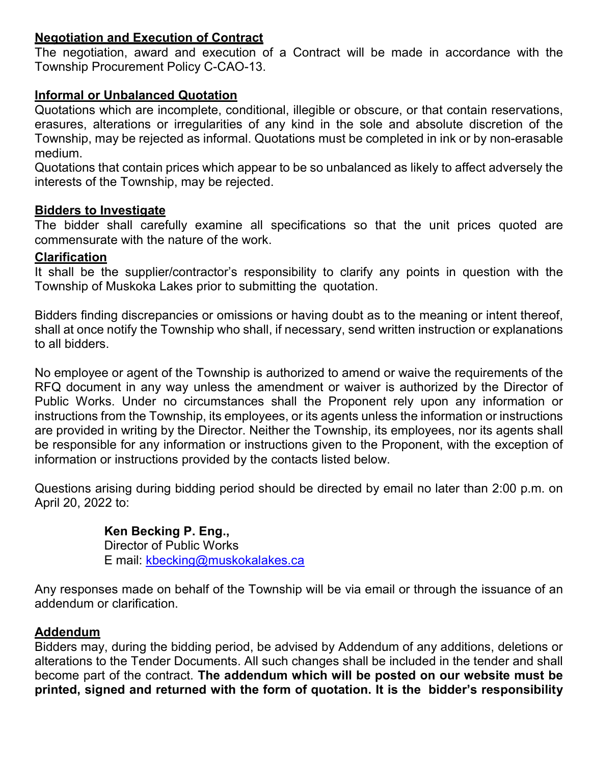#### **Negotiation and Execution of Contract**

The negotiation, award and execution of a Contract will be made in accordance with the Township Procurement Policy C-CAO-13.

### **Informal or Unbalanced Quotation**

Quotations which are incomplete, conditional, illegible or obscure, or that contain reservations, erasures, alterations or irregularities of any kind in the sole and absolute discretion of the Township, may be rejected as informal. Quotations must be completed in ink or by non-erasable medium.

Quotations that contain prices which appear to be so unbalanced as likely to affect adversely the interests of the Township, may be rejected.

### **Bidders to Investigate**

The bidder shall carefully examine all specifications so that the unit prices quoted are commensurate with the nature of the work.

### **Clarification**

It shall be the supplier/contractor's responsibility to clarify any points in question with the Township of Muskoka Lakes prior to submitting the quotation.

Bidders finding discrepancies or omissions or having doubt as to the meaning or intent thereof, shall at once notify the Township who shall, if necessary, send written instruction or explanations to all bidders.

No employee or agent of the Township is authorized to amend or waive the requirements of the RFQ document in any way unless the amendment or waiver is authorized by the Director of Public Works. Under no circumstances shall the Proponent rely upon any information or instructions from the Township, its employees, or its agents unless the information or instructions are provided in writing by the Director. Neither the Township, its employees, nor its agents shall be responsible for any information or instructions given to the Proponent, with the exception of information or instructions provided by the contacts listed below.

Questions arising during bidding period should be directed by email no later than 2:00 p.m. on April 20, 2022 to:

### **Ken Becking P. Eng.,**

Director of Public Works E mail: [kbecking@muskokalakes.ca](mailto:kbecking@muskokalakes.ca)

Any responses made on behalf of the Township will be via email or through the issuance of an addendum or clarification.

### **Addendum**

Bidders may, during the bidding period, be advised by Addendum of any additions, deletions or alterations to the Tender Documents. All such changes shall be included in the tender and shall become part of the contract. **The addendum which will be posted on our website must be printed, signed and returned with the form of quotation. It is the bidder's responsibility**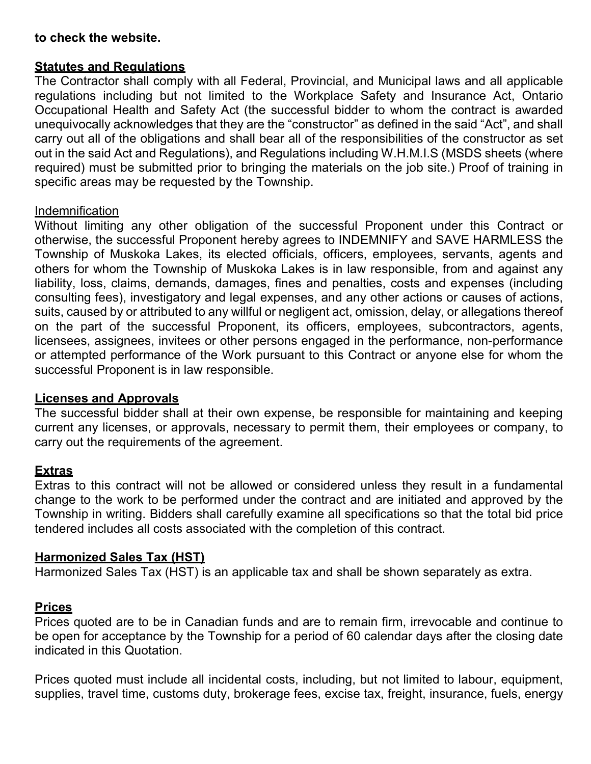#### **to check the website.**

#### **Statutes and Regulations**

The Contractor shall comply with all Federal, Provincial, and Municipal laws and all applicable regulations including but not limited to the Workplace Safety and Insurance Act, Ontario Occupational Health and Safety Act (the successful bidder to whom the contract is awarded unequivocally acknowledges that they are the "constructor" as defined in the said "Act", and shall carry out all of the obligations and shall bear all of the responsibilities of the constructor as set out in the said Act and Regulations), and Regulations including W.H.M.I.S (MSDS sheets (where required) must be submitted prior to bringing the materials on the job site.) Proof of training in specific areas may be requested by the Township.

#### Indemnification

Without limiting any other obligation of the successful Proponent under this Contract or otherwise, the successful Proponent hereby agrees to INDEMNIFY and SAVE HARMLESS the Township of Muskoka Lakes, its elected officials, officers, employees, servants, agents and others for whom the Township of Muskoka Lakes is in law responsible, from and against any liability, loss, claims, demands, damages, fines and penalties, costs and expenses (including consulting fees), investigatory and legal expenses, and any other actions or causes of actions, suits, caused by or attributed to any willful or negligent act, omission, delay, or allegations thereof on the part of the successful Proponent, its officers, employees, subcontractors, agents, licensees, assignees, invitees or other persons engaged in the performance, non-performance or attempted performance of the Work pursuant to this Contract or anyone else for whom the successful Proponent is in law responsible.

#### **Licenses and Approvals**

The successful bidder shall at their own expense, be responsible for maintaining and keeping current any licenses, or approvals, necessary to permit them, their employees or company, to carry out the requirements of the agreement.

#### **Extras**

Extras to this contract will not be allowed or considered unless they result in a fundamental change to the work to be performed under the contract and are initiated and approved by the Township in writing. Bidders shall carefully examine all specifications so that the total bid price tendered includes all costs associated with the completion of this contract.

#### **Harmonized Sales Tax (HST)**

Harmonized Sales Tax (HST) is an applicable tax and shall be shown separately as extra.

#### **Prices**

Prices quoted are to be in Canadian funds and are to remain firm, irrevocable and continue to be open for acceptance by the Township for a period of 60 calendar days after the closing date indicated in this Quotation.

Prices quoted must include all incidental costs, including, but not limited to labour, equipment, supplies, travel time, customs duty, brokerage fees, excise tax, freight, insurance, fuels, energy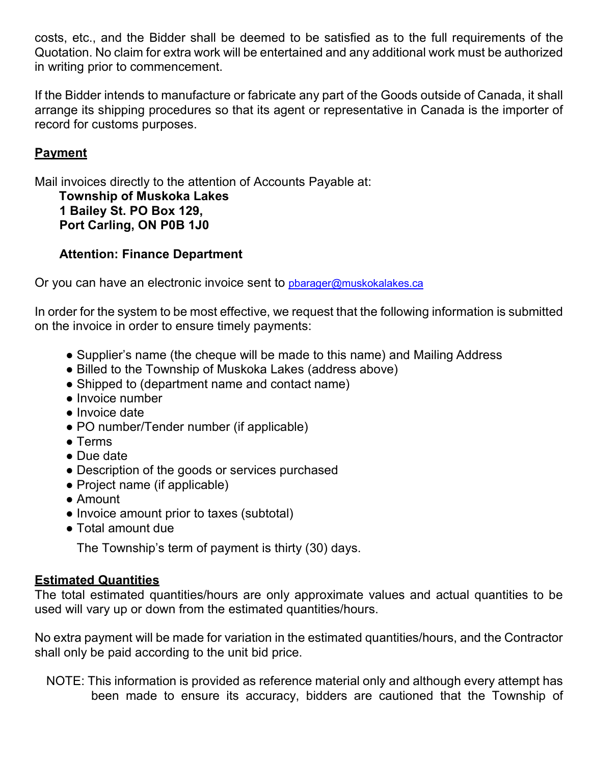costs, etc., and the Bidder shall be deemed to be satisfied as to the full requirements of the Quotation. No claim for extra work will be entertained and any additional work must be authorized in writing prior to commencement.

If the Bidder intends to manufacture or fabricate any part of the Goods outside of Canada, it shall arrange its shipping procedures so that its agent or representative in Canada is the importer of record for customs purposes.

### **Payment**

Mail invoices directly to the attention of Accounts Payable at:

**Township of Muskoka Lakes 1 Bailey St. PO Box 129, Port Carling, ON P0B 1J0**

### **Attention: Finance Department**

Or you can have an electronic invoice sent to pharager@muskokalakes.ca

In order for the system to be most effective, we request that the following information is submitted on the invoice in order to ensure timely payments:

- Supplier's name (the cheque will be made to this name) and Mailing Address
- Billed to the Township of Muskoka Lakes (address above)
- Shipped to (department name and contact name)
- Invoice number
- Invoice date
- PO number/Tender number (if applicable)
- Terms
- Due date
- Description of the goods or services purchased
- Project name (if applicable)
- Amount
- Invoice amount prior to taxes (subtotal)
- Total amount due

The Township's term of payment is thirty (30) days.

### **Estimated Quantities**

The total estimated quantities/hours are only approximate values and actual quantities to be used will vary up or down from the estimated quantities/hours.

No extra payment will be made for variation in the estimated quantities/hours, and the Contractor shall only be paid according to the unit bid price.

NOTE: This information is provided as reference material only and although every attempt has been made to ensure its accuracy, bidders are cautioned that the Township of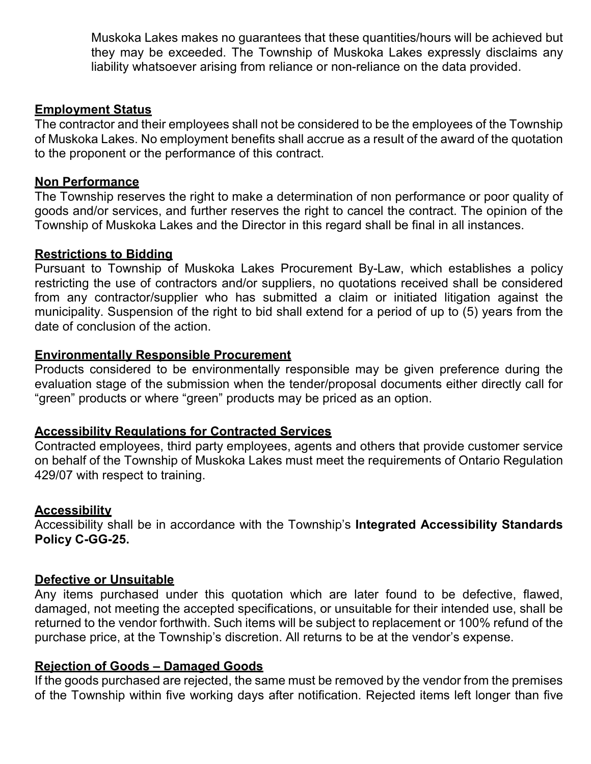Muskoka Lakes makes no guarantees that these quantities/hours will be achieved but they may be exceeded. The Township of Muskoka Lakes expressly disclaims any liability whatsoever arising from reliance or non-reliance on the data provided.

#### **Employment Status**

The contractor and their employees shall not be considered to be the employees of the Township of Muskoka Lakes. No employment benefits shall accrue as a result of the award of the quotation to the proponent or the performance of this contract.

#### **Non Performance**

The Township reserves the right to make a determination of non performance or poor quality of goods and/or services, and further reserves the right to cancel the contract. The opinion of the Township of Muskoka Lakes and the Director in this regard shall be final in all instances.

#### **Restrictions to Bidding**

Pursuant to Township of Muskoka Lakes Procurement By-Law, which establishes a policy restricting the use of contractors and/or suppliers, no quotations received shall be considered from any contractor/supplier who has submitted a claim or initiated litigation against the municipality. Suspension of the right to bid shall extend for a period of up to (5) years from the date of conclusion of the action.

#### **Environmentally Responsible Procurement**

Products considered to be environmentally responsible may be given preference during the evaluation stage of the submission when the tender/proposal documents either directly call for "green" products or where "green" products may be priced as an option.

#### **Accessibility Regulations for Contracted Services**

Contracted employees, third party employees, agents and others that provide customer service on behalf of the Township of Muskoka Lakes must meet the requirements of Ontario Regulation 429/07 with respect to training.

#### **Accessibility**

Accessibility shall be in accordance with the Township's **Integrated Accessibility Standards Policy C-GG-25.**

#### **Defective or Unsuitable**

Any items purchased under this quotation which are later found to be defective, flawed, damaged, not meeting the accepted specifications, or unsuitable for their intended use, shall be returned to the vendor forthwith. Such items will be subject to replacement or 100% refund of the purchase price, at the Township's discretion. All returns to be at the vendor's expense.

#### **Rejection of Goods – Damaged Goods**

If the goods purchased are rejected, the same must be removed by the vendor from the premises of the Township within five working days after notification. Rejected items left longer than five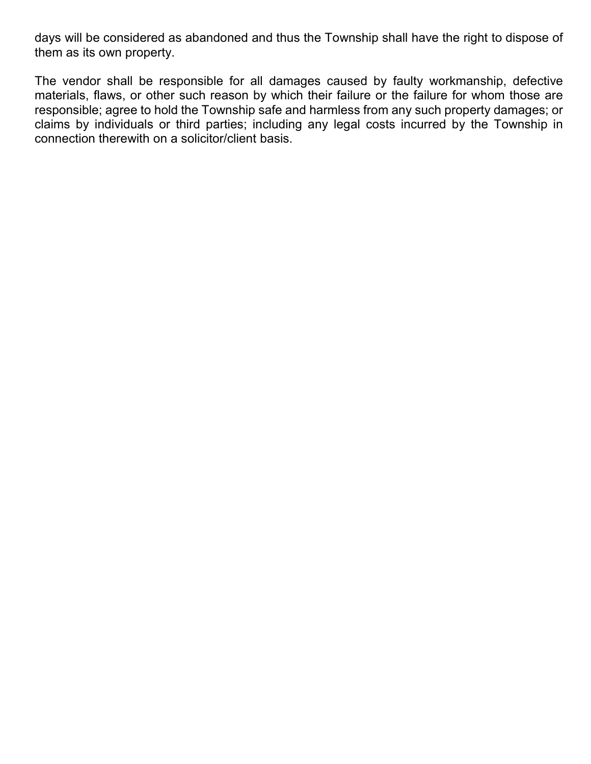days will be considered as abandoned and thus the Township shall have the right to dispose of them as its own property.

The vendor shall be responsible for all damages caused by faulty workmanship, defective materials, flaws, or other such reason by which their failure or the failure for whom those are responsible; agree to hold the Township safe and harmless from any such property damages; or claims by individuals or third parties; including any legal costs incurred by the Township in connection therewith on a solicitor/client basis.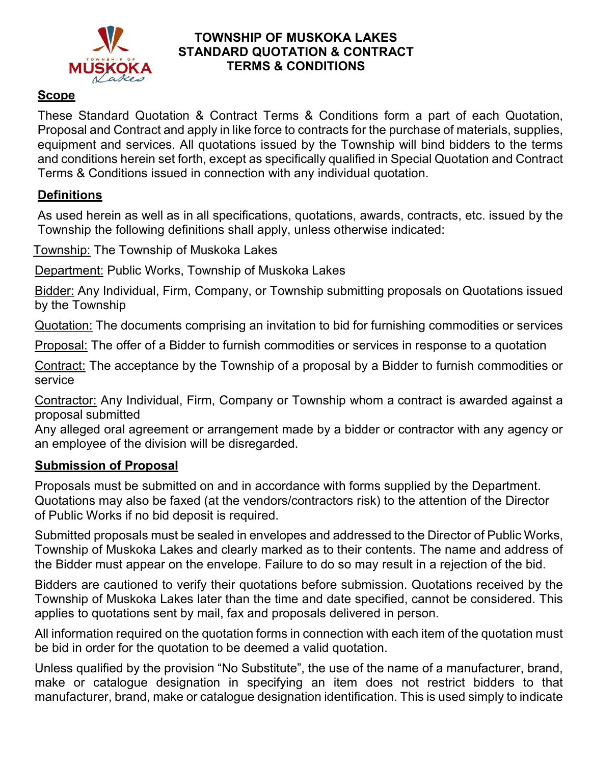

#### **TOWNSHIP OF MUSKOKA LAKES STANDARD QUOTATION & CONTRACT TERMS & CONDITIONS**

### **Scope**

These Standard Quotation & Contract Terms & Conditions form a part of each Quotation, Proposal and Contract and apply in like force to contracts for the purchase of materials, supplies, equipment and services. All quotations issued by the Township will bind bidders to the terms and conditions herein set forth, except as specifically qualified in Special Quotation and Contract Terms & Conditions issued in connection with any individual quotation.

### **Definitions**

As used herein as well as in all specifications, quotations, awards, contracts, etc. issued by the Township the following definitions shall apply, unless otherwise indicated:

Township: The Township of Muskoka Lakes

Department: Public Works, Township of Muskoka Lakes

Bidder: Any Individual, Firm, Company, or Township submitting proposals on Quotations issued by the Township

Quotation: The documents comprising an invitation to bid for furnishing commodities or services

Proposal: The offer of a Bidder to furnish commodities or services in response to a quotation

Contract: The acceptance by the Township of a proposal by a Bidder to furnish commodities or service

Contractor: Any Individual, Firm, Company or Township whom a contract is awarded against a proposal submitted

Any alleged oral agreement or arrangement made by a bidder or contractor with any agency or an employee of the division will be disregarded.

### **Submission of Proposal**

Proposals must be submitted on and in accordance with forms supplied by the Department. Quotations may also be faxed (at the vendors/contractors risk) to the attention of the Director of Public Works if no bid deposit is required.

Submitted proposals must be sealed in envelopes and addressed to the Director of Public Works, Township of Muskoka Lakes and clearly marked as to their contents. The name and address of the Bidder must appear on the envelope. Failure to do so may result in a rejection of the bid.

Bidders are cautioned to verify their quotations before submission. Quotations received by the Township of Muskoka Lakes later than the time and date specified, cannot be considered. This applies to quotations sent by mail, fax and proposals delivered in person.

All information required on the quotation forms in connection with each item of the quotation must be bid in order for the quotation to be deemed a valid quotation.

Unless qualified by the provision "No Substitute", the use of the name of a manufacturer, brand, make or catalogue designation in specifying an item does not restrict bidders to that manufacturer, brand, make or catalogue designation identification. This is used simply to indicate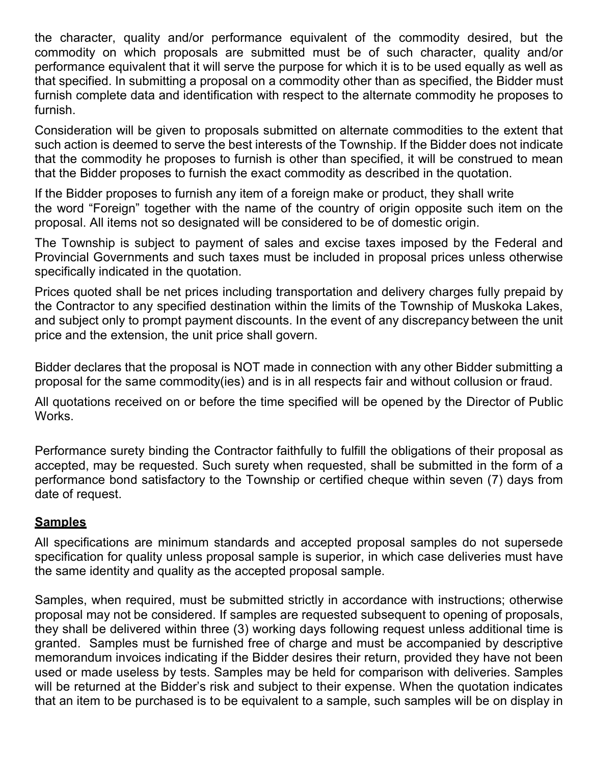the character, quality and/or performance equivalent of the commodity desired, but the commodity on which proposals are submitted must be of such character, quality and/or performance equivalent that it will serve the purpose for which it is to be used equally as well as that specified. In submitting a proposal on a commodity other than as specified, the Bidder must furnish complete data and identification with respect to the alternate commodity he proposes to furnish.

Consideration will be given to proposals submitted on alternate commodities to the extent that such action is deemed to serve the best interests of the Township. If the Bidder does not indicate that the commodity he proposes to furnish is other than specified, it will be construed to mean that the Bidder proposes to furnish the exact commodity as described in the quotation.

If the Bidder proposes to furnish any item of a foreign make or product, they shall write the word "Foreign" together with the name of the country of origin opposite such item on the proposal. All items not so designated will be considered to be of domestic origin.

The Township is subject to payment of sales and excise taxes imposed by the Federal and Provincial Governments and such taxes must be included in proposal prices unless otherwise specifically indicated in the quotation.

Prices quoted shall be net prices including transportation and delivery charges fully prepaid by the Contractor to any specified destination within the limits of the Township of Muskoka Lakes, and subject only to prompt payment discounts. In the event of any discrepancy between the unit price and the extension, the unit price shall govern.

Bidder declares that the proposal is NOT made in connection with any other Bidder submitting a proposal for the same commodity(ies) and is in all respects fair and without collusion or fraud.

All quotations received on or before the time specified will be opened by the Director of Public Works.

Performance surety binding the Contractor faithfully to fulfill the obligations of their proposal as accepted, may be requested. Such surety when requested, shall be submitted in the form of a performance bond satisfactory to the Township or certified cheque within seven (7) days from date of request.

### **Samples**

All specifications are minimum standards and accepted proposal samples do not supersede specification for quality unless proposal sample is superior, in which case deliveries must have the same identity and quality as the accepted proposal sample.

Samples, when required, must be submitted strictly in accordance with instructions; otherwise proposal may not be considered. If samples are requested subsequent to opening of proposals, they shall be delivered within three (3) working days following request unless additional time is granted. Samples must be furnished free of charge and must be accompanied by descriptive memorandum invoices indicating if the Bidder desires their return, provided they have not been used or made useless by tests. Samples may be held for comparison with deliveries. Samples will be returned at the Bidder's risk and subject to their expense. When the quotation indicates that an item to be purchased is to be equivalent to a sample, such samples will be on display in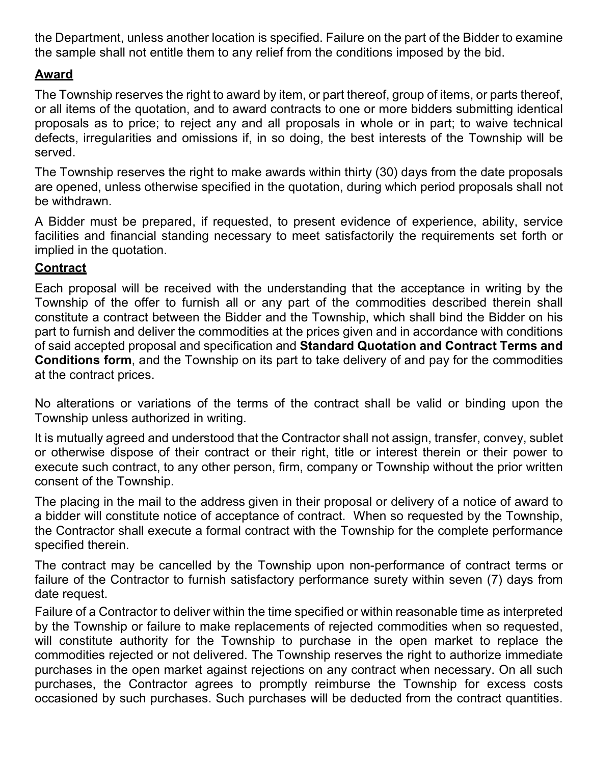the Department, unless another location is specified. Failure on the part of the Bidder to examine the sample shall not entitle them to any relief from the conditions imposed by the bid.

### **Award**

The Township reserves the right to award by item, or part thereof, group of items, or parts thereof, or all items of the quotation, and to award contracts to one or more bidders submitting identical proposals as to price; to reject any and all proposals in whole or in part; to waive technical defects, irregularities and omissions if, in so doing, the best interests of the Township will be served.

The Township reserves the right to make awards within thirty (30) days from the date proposals are opened, unless otherwise specified in the quotation, during which period proposals shall not be withdrawn.

A Bidder must be prepared, if requested, to present evidence of experience, ability, service facilities and financial standing necessary to meet satisfactorily the requirements set forth or implied in the quotation.

### **Contract**

Each proposal will be received with the understanding that the acceptance in writing by the Township of the offer to furnish all or any part of the commodities described therein shall constitute a contract between the Bidder and the Township, which shall bind the Bidder on his part to furnish and deliver the commodities at the prices given and in accordance with conditions of said accepted proposal and specification and **Standard Quotation and Contract Terms and Conditions form**, and the Township on its part to take delivery of and pay for the commodities at the contract prices.

No alterations or variations of the terms of the contract shall be valid or binding upon the Township unless authorized in writing.

It is mutually agreed and understood that the Contractor shall not assign, transfer, convey, sublet or otherwise dispose of their contract or their right, title or interest therein or their power to execute such contract, to any other person, firm, company or Township without the prior written consent of the Township.

The placing in the mail to the address given in their proposal or delivery of a notice of award to a bidder will constitute notice of acceptance of contract. When so requested by the Township, the Contractor shall execute a formal contract with the Township for the complete performance specified therein.

The contract may be cancelled by the Township upon non-performance of contract terms or failure of the Contractor to furnish satisfactory performance surety within seven (7) days from date request.

Failure of a Contractor to deliver within the time specified or within reasonable time as interpreted by the Township or failure to make replacements of rejected commodities when so requested, will constitute authority for the Township to purchase in the open market to replace the commodities rejected or not delivered. The Township reserves the right to authorize immediate purchases in the open market against rejections on any contract when necessary. On all such purchases, the Contractor agrees to promptly reimburse the Township for excess costs occasioned by such purchases. Such purchases will be deducted from the contract quantities.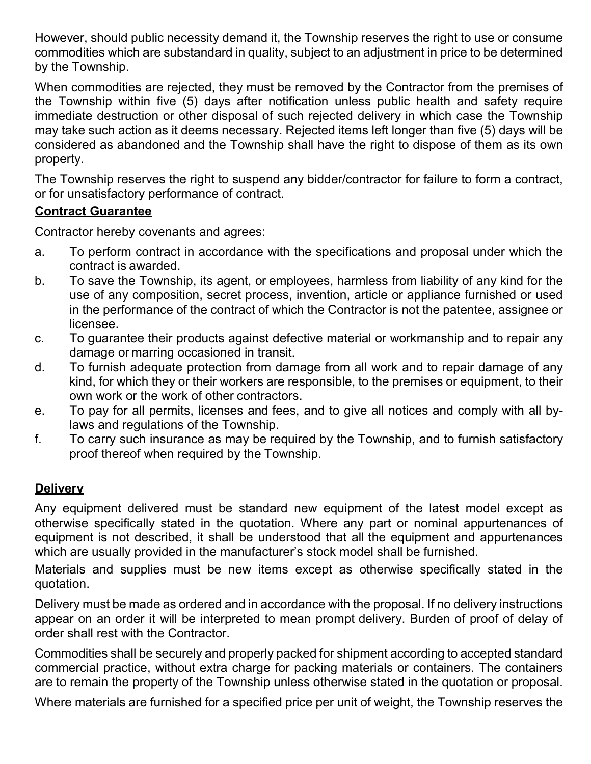However, should public necessity demand it, the Township reserves the right to use or consume commodities which are substandard in quality, subject to an adjustment in price to be determined by the Township.

When commodities are rejected, they must be removed by the Contractor from the premises of the Township within five (5) days after notification unless public health and safety require immediate destruction or other disposal of such rejected delivery in which case the Township may take such action as it deems necessary. Rejected items left longer than five (5) days will be considered as abandoned and the Township shall have the right to dispose of them as its own property.

The Township reserves the right to suspend any bidder/contractor for failure to form a contract, or for unsatisfactory performance of contract.

### **Contract Guarantee**

Contractor hereby covenants and agrees:

- a. To perform contract in accordance with the specifications and proposal under which the contract is awarded.
- b. To save the Township, its agent, or employees, harmless from liability of any kind for the use of any composition, secret process, invention, article or appliance furnished or used in the performance of the contract of which the Contractor is not the patentee, assignee or licensee.
- c. To guarantee their products against defective material or workmanship and to repair any damage or marring occasioned in transit.
- d. To furnish adequate protection from damage from all work and to repair damage of any kind, for which they or their workers are responsible, to the premises or equipment, to their own work or the work of other contractors.
- e. To pay for all permits, licenses and fees, and to give all notices and comply with all bylaws and regulations of the Township.
- f. To carry such insurance as may be required by the Township, and to furnish satisfactory proof thereof when required by the Township.

### **Delivery**

Any equipment delivered must be standard new equipment of the latest model except as otherwise specifically stated in the quotation. Where any part or nominal appurtenances of equipment is not described, it shall be understood that all the equipment and appurtenances which are usually provided in the manufacturer's stock model shall be furnished.

Materials and supplies must be new items except as otherwise specifically stated in the quotation.

Delivery must be made as ordered and in accordance with the proposal. If no delivery instructions appear on an order it will be interpreted to mean prompt delivery. Burden of proof of delay of order shall rest with the Contractor.

Commodities shall be securely and properly packed for shipment according to accepted standard commercial practice, without extra charge for packing materials or containers. The containers are to remain the property of the Township unless otherwise stated in the quotation or proposal.

Where materials are furnished for a specified price per unit of weight, the Township reserves the